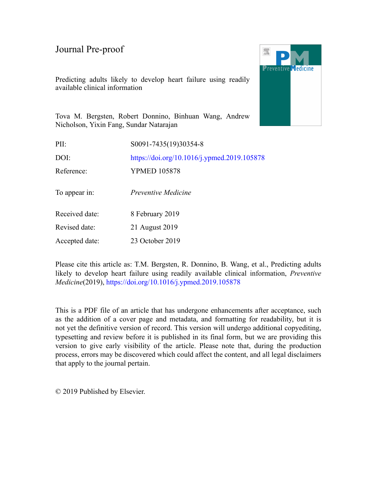Predicting adults likely to develop heart failure using readily available clinical information



Tova M. Bergsten, Robert Donnino, Binhuan Wang, Andrew Nicholson, Yixin Fang, Sundar Natarajan

| PII:           | S0091-7435(19)30354-8                       |
|----------------|---------------------------------------------|
| DOI:           | https://doi.org/10.1016/j.ypmed.2019.105878 |
| Reference:     | <b>YPMED 105878</b>                         |
| To appear in:  | Preventive Medicine                         |
| Received date: | 8 February 2019                             |
| Revised date:  | 21 August 2019                              |
| Accepted date: | 23 October 2019                             |

Please cite this article as: T.M. Bergsten, R. Donnino, B. Wang, et al., Predicting adults likely to develop heart failure using readily available clinical information, *Preventive Medicine*(2019), <https://doi.org/10.1016/j.ypmed.2019.105878>

This is a PDF file of an article that has undergone enhancements after acceptance, such as the addition of a cover page and metadata, and formatting for readability, but it is not yet the definitive version of record. This version will undergo additional copyediting, typesetting and review before it is published in its final form, but we are providing this version to give early visibility of the article. Please note that, during the production process, errors may be discovered which could affect the content, and all legal disclaimers that apply to the journal pertain.

© 2019 Published by Elsevier.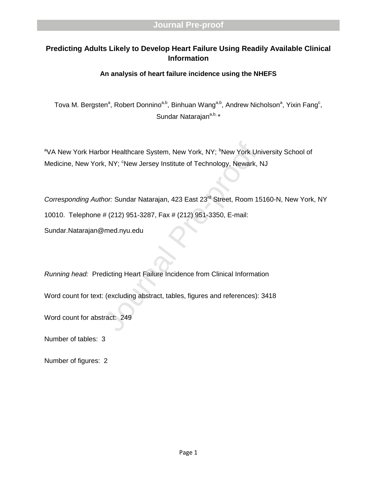# **Predicting Adults Likely to Develop Heart Failure Using Readily Available Clinical Information**

# **An analysis of heart failure incidence using the NHEFS**

Tova M. Bergsten<sup>a</sup>, Robert Donnino<sup>a,b</sup>, Binhuan Wang<sup>a,b</sup>, Andrew Nicholson<sup>a</sup>, Yixin Fang<sup>c</sup>, Sundar Natarajan<sup>a,b,</sup> \*

<sup>a</sup>VA New York Harbor Healthcare System, New York, NY; <sup>b</sup>New York University School of Medicine, New York, NY; <sup>c</sup>New Jersey Institute of Technology, Newark, NJ

oor Healthcare System, New York, NY; <sup>b</sup>New York Un<br>k, NY; <sup>c</sup>New Jersey Institute of Technology, Newark, M<br>hor: Sundar Natarajan, 423 East 23<sup>rd</sup> Street, Room 15<br># (212) 951-3287, Fax # (212) 951-3350, E-mail:<br>2med.nyu.ed Corresponding Author: Sundar Natarajan, 423 East 23<sup>rd</sup> Street, Room 15160-N, New York, NY 10010. Telephone # (212) 951 -3287, Fax # (212) 951 -3350, E -mail: Sundar.Natarajan@med.nyu.edu

*Running head:* Predicting Heart Failure Incidence from Clinical Information

Word count for text: (excluding abstract, tables, figures and references): 3418

Word count for abstract: 249

Number of tables: 3

Number of figures: 2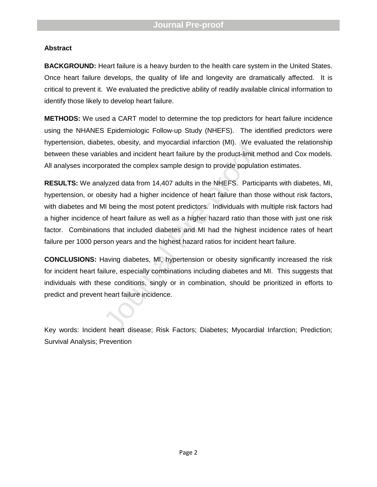### **Abstract**

**BACKGROUND:** Heart failure is a heavy burden to the health care system in the United States. Once heart failure develops, the quality of life and longevity are dramatically affected. It is critical to prevent it. We evaluated the predictive ability of readily available clinical information to identify those likely to develop heart failure.

**METHODS :** We used a CART model to determine the top predictors for heart failure incidence using the NHANES Epidemiologic Follow -up Study (NHEFS). The identified predictors were hypertension, diabetes, obesity, and myocardial infarction (MI ). We evaluate d the relationship between these variables and incident heart failure by the product -limit method and Cox models. All analyses incorporated the complex sample design to provide population estimates .

etes, obesity, and myocardial infarction (MI). We evables and incident heart failure by the product-limit morated the complex sample design to provide populatilyzed data from 14,407 adults in the NHEFS. Particilesity had a **RESULTS:** We analyzed data from 14,407 adults in the NHEFS. Participants with diabetes, MI, hypertension, or obesity had a higher incidence of heart failure than those without risk factors, with diabetes and MI being the most potent predictors. Individuals with multiple risk factors had a higher incidence of heart failure as well as a higher hazard ratio than those with just one risk factor. Combinations that included diabetes and MI had the highest incidence rates of heart failure per 1000 person years and the highest hazard ratio s for incident heart failure.

**CONCLUSIONS :** Having diabetes, MI, hypertension or obesity significantly increased the risk for incident heart failure, especially combinations including diabetes and MI. This suggests that individuals with these conditions, singly or in combination, should be prioritized in efforts to predict and prevent heart failure incidence.

Key words: Incident heart disease; Risk Factors; Diabetes; Myocardial Infarction; Prediction; Survival Analysis; Prevention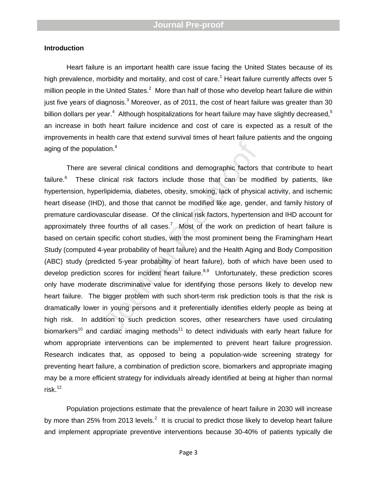### **Introduction**

Heart failure is an important health care issue facing the United States because of its high prevalence, morbidity and mortality, and cost of care.<sup>1</sup> Heart failure currently affects over 5 million people in the United States.<sup>2</sup> More than half of those who develop heart failure die within just five years of diagnosis.<sup>3</sup> Moreover, as of 2011, the cost of heart failure was greater than 30 billion dollars per year.<sup>4</sup> Although hospitalizations for heart failure may have slightly decreased,<sup>5</sup> an increase in both heart failure incidence and cost of care is expected as a result of the improvements in health care that extend survival times of heart failure patients and the ongoing aging of the population.<sup>4</sup>

tion.<sup>4</sup><br>several clinical conditions and demographic factors<br>linical risk factors include those that can be mo<br>rlipidemia, diabetes, obesity, smoking, lack of physic;<br>), and those that cannot be modified like age, gends<br>sc There are several clinical conditions and demographic factors that contribute to heart failure.<sup>6</sup> These clinical risk factors include those that can be modified by patients, like hypertension, hyperlipidemia, diabetes, obesity, smoking, lack of physical activity, and ischemic heart disease (IHD), and those that cannot be modified like age, gender, and family history of premature cardiovascular disease. Of the clinical risk factors, hypertension and IHD account for approximately three fourths of all cases.<sup>7</sup> Most of the work on prediction of heart failure is based on certain specific cohort studies, with the most prominent being the Framingham Heart Study (computed 4 -year probability of heart failure) and the Health Aging and Body Composition (ABC) study (predicted 5-year probability of heart failure), both of which have been used to develop prediction scores for incident heart failure.<sup>8,9</sup> Unfortunately, these prediction scores only have moderate discriminative value for identifying those persons likely to develop new heart failure. The bigger problem with such short-term risk prediction tools is that the risk is dramatically lower in young persons and it preferentially identifies elderly people as being at high risk. In addition to such prediction scores, other researchers have used circulating biomarkers<sup>10</sup> and cardiac imaging methods<sup>11</sup> to detect individuals with early heart failure for whom appropriate interventions can be implemented to prevent heart failure progression . Research indicates that, as opposed to being a population -wide screening strategy for preventing heart failure, a combination of prediction score, biomarkers and appropriate imaging may be a more efficient strategy for individuals already identified at being at higher than normal risk. $12$ 

Population projections estimate that the prevalence of heart failure in 2030 will increase by more than 25% from 2013 levels.<sup>2</sup> It is crucial to predict those likely to develop heart failure and implement appropriate preventive interventions because 30 -40% of patients typically die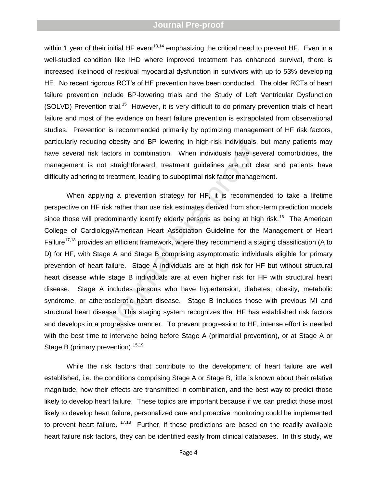within 1 year of their initial HF event<sup>13,14</sup> emphasizing the critical need to prevent HF. Even in a well -studied condition like IHD where improved treatment has enhanced survival, there is increased likelihood of residual myocardial dysfunction in survivors with up to 53% developing HF. No recent rigorous RCT's of HF prevention have been conducted. The older RCTs of heart failure prevention include BP-lowering trials and the Study of Left Ventricular Dysfunction (SOLVD) Prevention trial.<sup>15</sup> However, it is very difficult to do primary prevention trials of heart failure and most of the evidence on heart failure prevention is extrapolated from observational studies. Prevention is recommended primarily by optimizing management of HF risk factors, particularly reducing obesity and BP lowering in high -risk individuals, but many patients may have several risk factors in combination. When individuals have several comorbidities, the management is not straightforward, treatment guidelines are not clear and patients have difficulty adhering to treatment, leading to suboptimal risk factor management.

g obesity and BP lowering in nigh-risk individuals,<br>factors in combination. When individuals have sev<br>of straightforward, treatment guidelines are not cli-<br>of treatment, leading to suboptimal risk factor manager<br>ving a pre Whe n applying a prevention strategy for HF, it is recommended to take a lifetime perspective on HF risk rather than use risk estimates derived from short -term prediction models since those will predominantly identify elderly persons as being at high risk.<sup>16</sup> The American College of Cardiology/American Heart Association Guideline for the Management of Heart Failure<sup>17,18</sup> provides an efficient framework, where they recommend a staging classification (A to D) for HF, with Stage A and Stage B comprising asymptomatic individuals eligible for primary prevention of heart failure. Stage A individuals are at high risk for HF but without structural heart disease while stage B individuals are at even higher risk for HF with structural heart disease. Stage A includes persons who have hypertension, diabetes, obesity, metabolic syndrome, or atherosclerotic heart disease. Stage B includes those with previous MI and structural heart disease. This staging system recognizes that HF has established risk factors and develops in a progressive manner. To prevent progression to HF, intense effort is needed with the best time to intervene being before Stage A (primordial prevention), or at Stage A or Stage B (primary prevention).<sup>15,19</sup>

While the risk factors that contribute to the development of heart failure are well established , i.e. the conditions comprising Stage A or Stage B, little is known about their relative magnitude, how their effects are transmitted in combination , and the best way to predict those likely to develop heart failure. These topics are important because if we can predict those most likely to develop heart failure, personalized care and proactive monitoring could be implemented to prevent heart failure. <sup>17,18</sup> Further, if these predictions are based on the readily available heart failure risk factors, they can be identified easily from clinical databases. In this study, we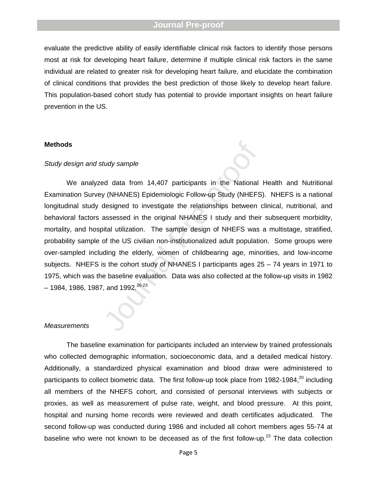evaluate the predictive ability of easily identifiable clinical risk factors to identify those persons most at risk for developing heart failure, determine if multiple clinical risk factors in the same individual are related to greater risk for developing heart failure, and elucidate the combination of clinical conditions that provides the best prediction of those likely to develop heart failure. This population-based cohort study has potential to provide important insights on heart failure prevention in the US.

#### **Methods**

### *Study design and study sample*

tudy sample<br>
Exercit participants in the National<br>
y (NHANES) Epidemiologic Follow-up Study (NHEFS<br>
designed to investigate the relationships between<br>
assessed in the original NHANES I study and their<br>
tital utilization. T We analyzed data from 14,407 participants in the National Health and Nutritional Examination Survey (NHANES) Epidemiologic Follow -up Study (NHEFS). NHEFS is a national longitudinal study designed to investigate the relationships between clinical, nutritional, and behavioral factors assessed in the original NHANES I study and their subsequent morbidity, mortality, and hospital utilization. The sample design of NHEFS was a multistage, stratified, probability sample of the US civilian non -institutionalized adult population. Some groups were over -sampled including the elderly, women of childbearing age, minorities, and low -income subjects. NHEFS is the cohort study of NHANES I participants age s 25 – 74 years in 1971 to 1975, which was the baseline evaluation. Data was also collected at the follow -up visits in 1982  $-$  1984, 1986, 1987, and 1992.<sup>20-23</sup>

#### *Measurements*

The baseline examination for participants included an interview by trained professionals who collected demographic information, socioeconomic data, and a detailed medical history. Additionally, a standardized physical examination and blood draw were administered to participants to collect biometric data. The first follow-up took place from 1982-1984,<sup>20</sup> including all members of the NHEFS cohort, and consisted of personal interviews with subjects or proxies, as well as measurement of pulse rate, weight, and blood pressure. At this point, hospital and nursing home records were reviewed and death certificates adjudicated. The second follow -up was conducted during 1986 and included all cohort members ages 55 -74 at baseline who were not known to be deceased as of the first follow-up.<sup>23</sup> The data collection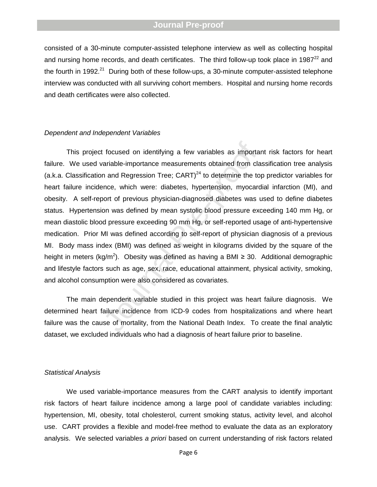consisted of a 30-minute computer-assisted telephone interview as well as collecting hospital and nursing home records, and death certificates. The third follow-up took place in 1987<sup>22</sup> and the fourth in 1992.<sup>21</sup> During both of these follow-ups, a 30-minute computer-assisted telephone interview was conducted with all surviving cohort members. Hospital and nursing home records and death certificates were also collected .

#### *Dependent and Independent Variables*

focused on identifying a few variables as importariable-importance measurements obtained from cland and Regression Tree; CART)<sup>24</sup> to determine the toronce, which were: diabetes, hypertension, myocard of previous physicia This project focuse d on identifying a few variables as important risk factors for heart failure. We used variable-importance measurements obtained from classification tree analysis (a.k.a. Classification and Regression Tree;  $CART)^{24}$  to determine the top predictor variables for heart failure incidence, which were : diabetes, hypertension, myocardial infarction (MI), and obesity. A self -report of previous physician -diagnosed diabetes was used to define diabetes status. Hypertension was defined by mean systolic blood pressure exceeding 140 mm Hg, or mean diastolic blood pressure exceeding 90 mm Hg, or self -reported usage of anti -hypertensive medication. Prior MI was defined according to self -report of physician diagnosis of a previous MI. Body mass index (BMI) was defined as weight in kilograms divided by the square of the height in meters (kg/m<sup>2</sup>). Obesity was defined as having a BMI  $\geq$  30. Additional demographic and lifestyle factors such as age, sex, race, educational attainment, physical activity, smoking, and alcohol consumption were also considered as covariates.

The main dependent variable studied in this project was heart failure diagnosis. We determined heart failure incidence from ICD -9 codes from hospitalizations and where heart failure was the cause of mortality, from the National Death Index. To create the final analytic dataset, we excluded individuals who had a diagnosis of heart failure prior to baseline.

#### *Statistical Analysis*

We used variable-importance measures from the CART analysis to identify important risk factors o f heart failure incidence among a large pool of candidate variables including: hypertension, MI, obesity, total cholesterol, current smoking status, activity level, and alcohol use. CART provides a flexible and model -free method to evaluate the data as an exploratory analysis. We selected variables *a priori* based on current understanding of risk factors related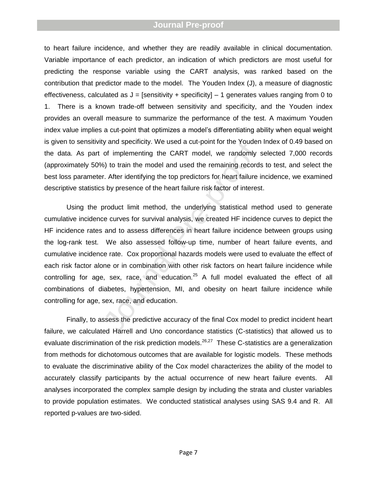to heart failure incidence, and whether they are readily available in clinical documentation. Variable importance of each predictor, an indication of which predictors are most useful for predicting the response variable using the CART analysis, was ranked based on the contribution that predictor made to the model. The Youden Index (J), a measure of diagnostic effectiveness, calculated as J = [sensitivity + specificity] – 1 generates values ranging from 0 to 1. There is a known trade -off between sensitivity and specificity, and the Youden index provides an overall measure to summarize the performance of the test. A maximum Youden index value implies a cut-point that optimizes a model's differentiating ability when equal weight is given to sensitivity and specificity. We used a cut -point for the Youden Index of 0.49 based on the data. As part of implementing the CART model, we randomly selected 7 ,000 records (approximately 50%) to train the model and used the remaining records to test, and select the best loss parameter. After identifying the top predictors for heart failure incidence, we examined descriptive statistics by presence of the heart failure risk factor of interest.

by and specificity. We used a cut-point for the Youden<br>of implementing the CART model, we randomly s<br>6) to train the model and used the remaining records<br>r. After identifying the top predictors for heart failure is<br>by pres Using the product limit method, the underlying statistical method used to generate cumulative incidence curves for survival analysis, we created HF incidence curves to depict the HF incidence rates and to assess differences in heart failure incidence between groups using the log -rank test. We also assessed follow -up time, number of heart failure events, and cumulative incidence rate. Cox proportional hazards models were used to evaluate the effect of each risk factor alone or in combination with other risk factors on heart failure incidence while controlling for age, sex, race, and education. $^{25}$  A full model evaluated the effect of all combinations of diabetes, hypertension, MI, and obesity on heart failure incidence while controlling for age, sex, race, and education.

Finally, to assess the predictive accuracy of the final Cox model to predict incident heart failure, we calculated Harrell and Uno concordance statistics (C -statistics) that allowed us to evaluate discrimination of the risk prediction models.<sup>26,27</sup> These C-statistics are a generalization from methods for dichotomous outcomes that are available for logistic models. These methods to evaluate the discriminative ability of the Cox model characterizes the ability of the model to accurately classify participants by the actual occurrence of new heart failure events. All analyses incorporated the complex sample design by including the strata and cluster variables to provide population estimates. We conducted statistical analyses using SAS 9.4 and R. All reported p -values are two -sided .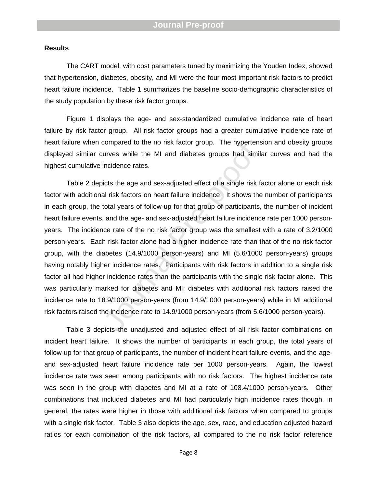### **Results**

The CART model , with cost parameters tuned by maximizing the Youden Index , showed that hypertension, diabetes, obesity , and MI were the four most important risk factors to predict heart failure incidence. Table 1 summarizes the baseline socio-demographic characteristics of the study population by these risk factor group s.

Figure 1 displays the age- and sex-standardized cumulative incidence rate of heart failure by risk factor group. All risk factor groups had a greater cumulative incidence rate of heart failure when compared to the no risk factor group. The hypertension and obesity groups displayed similar curves while the MI and diabetes groups had similar curves and ha d the highest cumulative incidence rates.

compared to the no risk factor group. The hypertens<br>urves while the MI and diabetes groups had simil<br>incidence rates.<br>icts the age and sex-adjusted effect of a single risk f<br>al risk factors on heart failure incidence. It s Table 2 depicts the age and sex -adjusted effect of a single risk factor alone or each risk factor with additional risk factors on heart failure incidence. It shows the number of participants in each group, the total years of follow-up for that group of participants, the number of incident heart failure events, and the age- and sex-adjusted heart failure incidence rate per 1000 personyears. The incidence rate of the no risk factor group was the smallest with a rate of 3.2/1000 person -years. Each risk factor alone had a higher incidence rate than that of the no risk factor group, with the diabetes (14.9/1000 person-years) and MI (5.6/1000 person-years) groups having notably higher incidence rate s. Participants with risk factors in addition to a single risk factor all had higher incidence rates than the participants with the single risk factor alone. This was particularly marked for diabetes and MI; diabetes with additional risk factors raised the incidence rate to 18.9/1000 person -years (from 14.9/1000 person -years) while in MI additional risk factors raised the incidence rate to 14.9/1000 person -years (from 5.6/1000 person -years).

Table 3 depicts the unadjusted and adjusted effect of all risk factor combinations on incident heart failure. It shows the number of participants in each group, the total years of follow -up for that group of participants, the number of incident heart failure events, and the age and sex -adjusted heart failure incidence rate per 1000 person -years. Again, the lowest incidence rate was seen among participants with no risk factors. The highest incidence rate was seen in the group with diabetes and MI at a rate of 108.4/1000 person -years. Other combinations that included diabetes and MI had particularly high incidence rates though, in general, the rates were higher in those with additional risk factors when compared to groups with a single risk factor. Table 3 also depicts the age, sex, race, and education adjusted hazard ratios for each combination of the risk factors, all compared to the no risk factor reference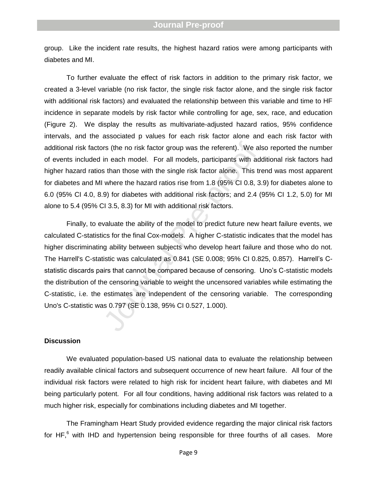group. Like the incident rate results, the highest hazard ratios were among participants with diabetes and MI .

To further evaluate the effect of risk factors in addition to the primary risk factor, we created a 3 -level variable (no risk factor, the single risk factor alone , and the single risk factor with additional risk factors) and evaluated the relationship between this variable and time to HF incidence in separate models by risk factor while controlling for age, sex, race, and education (Figure 2). We display the results as multivariate -adjusted hazard ratios, 95% confidence intervals, and the associated p values for each risk factor alone and each risk factor with additional risk factors (the no risk factor group was the referent). We also reported the number of events included in each model. For all models, participants with additional risk factors ha d higher hazard ratios than those with the single risk factor alone. This trend was most apparent for diabetes and MI where the hazard ratios rise from 1.8 (95% CI 0.8, 3.9) for diabetes alone to 6.0 (95% CI 4.0, 8.9) for diabetes with additional risk factors ; and 2.4 (95% CI 1.2, 5.0) for MI alone to 5.4 (95% CI 3.5, 8.3) for MI with additional risk factors.

In each model. For all models, participants with ad<br>in each model. For all models, participants with ad<br>s than those with the single risk factor alone. This tr<br>where the hazard ratios rise from 1.8 (95% Cl 0.8, 3<br>9) for d Finally, to evaluate the ability of the model to predict future new heart failure events, we calculated C-statistics for the final Cox-models. A higher C-statistic indicates that the model has higher discriminating ability between subjects who develop heart failure and those who do not. The Harrell's C-statistic was calculated as 0.841 (SE 0.008; 95% CI 0.825, 0.857). Harrell's Cstatistic discards pairs that cannot be compared because of censoring. Uno's C -statistic models the distribution of the censoring variable to weight the uncensored variables while estimating the C-statistic, i.e. the estimates are independent of the censoring variable. The corresponding Uno's C -statistic was 0.797 (SE 0.138, 95% CI 0.527, 1.000) .

#### **Discussion**

We evaluated population-based US national data to evaluate the relationship between readily available clinical factors and subsequent occurrence of new heart failure. All four of the individual risk factors were related to high risk for incident heart failure, with diabetes and MI being particularly potent. For all four conditions, having additional risk factors was related to a much higher risk, especially for combinations including diabetes and MI together .

The Framingham Heart Study provided evidence regarding the major clinical risk factors for HF,<sup>6</sup> with IHD and hypertension being responsible for three fourths of all cases. More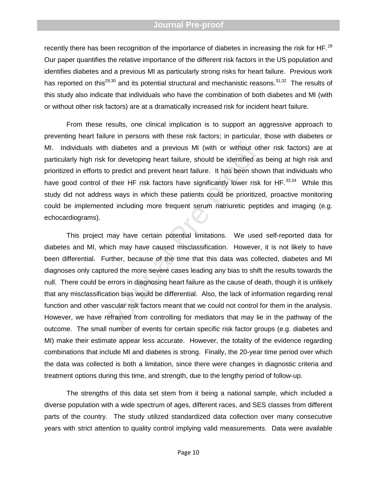recently there has been recognition of the importance of diabetes in increasing the risk for HF. $^{28}$ Our paper quantifies the relative importance of the different risk factors in the US population and identifies diabetes and a previous MI as particularly strong risks for heart failure. Previous work has reported on this<sup>29,30</sup> and its potential structural and mechanistic reasons.<sup>31,32</sup> The results of this study also indicate that individuals who have the combination of both diabetes and MI (with or without other risk factors) are at a dramatically increased risk for incident heart failure.

From these results, one clinical implication is to support an aggressive approach to preventing heart failure in persons with these risk factors; in particular , those with diabetes or MI. Individuals with diabetes and a previous MI (with or without other risk factors) are at particularly high risk for developing heart failure, should be identified as being at high risk and prioritized in efforts to predict and prevent heart failure. It has been shown that individuals who have good control of their HF risk factors have significantly lower risk for HF.<sup>33,34</sup> While this study did not address ways in which these patients could be prioritized, proactive monitoring could be implemented including more frequent serum natriuretic peptides and imaging (e.g. echocardiograms ).

th diabetes and a previous MI (with or without other that for developing heart failure, should be identified as to predict and prevent heart failure. It has been show of their HF risk factors have significantly lower riske This project may have certain potential limitations. We used self -reported data for diabetes and MI, which may have caused misclassification. However, it is not likely to have been differential. Further, because of the time that this data was collected, diabetes and MI diagnoses only captured the more severe cases leading any bias to shift the results towards the null. There could be errors in diagnosing heart failure as the cause of death, though it is unlikely that any misclassification bias would be differential. Also, the lack of information regarding renal function and other vascular risk factors meant that we could not control for them in the analysis. However, we have refrained from controlling for mediators that may lie in the pathway of the outcome. The small number of events for certain specific risk factor groups (e.g. diabetes and MI) make their estimate appear less accurate. However, the totality of the evidence regarding combinations that include MI and diabetes is strong. Finally, the 20 -year time period over which the data was collected is both a limitation, since there were changes in diagnostic criteria and treatment options during this time, and strength, due to the lengthy period of follow -up.

The strengths of this data set stem from it being a national sample, which included a diverse population with a wide spectrum of ages, different races, and SES classes from different parts of the country. The study utilized standardized data collection over many consecutive years with strict attention to quality control implying valid measurements. Data were available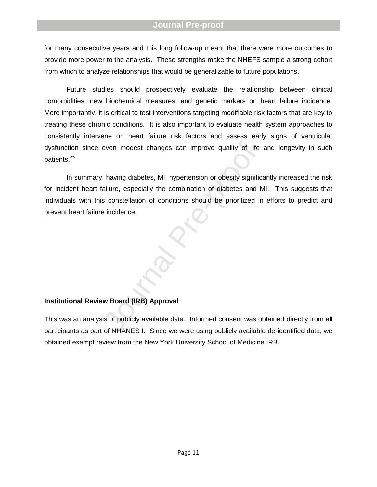for many consecutive years and this long follow -up meant that there were more outcomes to provide more power to the analysis. These strengths make the NHEFS sample a strong cohort from which to analyze relationships that would be generalizable to future populations.

Future studies should prospectively evaluate the relationship between clinical comorbidities, new biochemical measures, and genetic markers on heart failure incidence. More importantly, it is critical to test interventions targeting modifiable risk factors that are key to treating these chronic conditions. It is also important to evaluate health system approaches to consistently intervene on heart failure risk factors and assess early signs of ventricular dysfunction since even modest changes can improve quality of life and longevity in such patients.<sup>35</sup>

even modest changes can improve quality of life<br>
, having diabetes, MI, hypertension or obesity signific<br>
iallure, especially the combination of diabetes and I<br>
s constellation of conditions should be prioritized in<br>
ie in In summary, having diabetes, MI, hypertension or obesity significantly increased the risk for incident heart failure, especially the combination of diabetes and MI. This suggests that individuals with this constellation of conditions should be prioritized in efforts to predict and prevent heart failure incidence.

### **Institutional Review Board (IRB) Approval**

This was an analysis of publicly available data. Informed consent was obtained directly from all participants as part of NHANES I. Since we were using publicly available de -identified data, we obtained exempt review from the New York University School of Medicine IRB .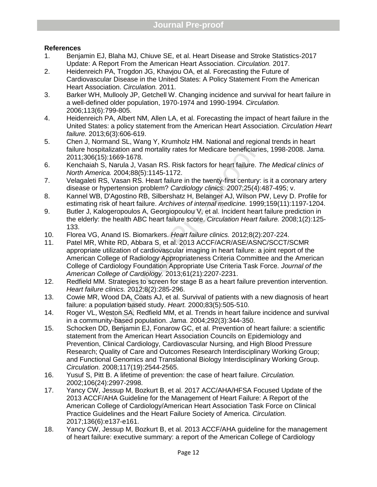# **References**

- 1. Benjamin EJ, Blaha MJ, Chiuve SE, et al. Heart Disease and Stroke Statistics -2017 Update: A Report From the American Heart Association. *Circulation.* 2017.
- 2. Heidenreich PA, Trogdon JG, Khavjou OA, et al. Forecasting the Future of Cardiovascular Disease in the United States: A Policy Statement From the American Heart Association. *Circulation.* 2011.
- 3. Barker WH, Mullooly JP, Getchell W. Changing incidence and survival for heart failure in a well -defined older population, 1970 -1974 and 1990 -1994. *Circulation.*  2006;113(6):799 -805.
- 4. Heidenreich PA, Albert NM, Allen LA, et al. Forecasting the impact of heart failure in the United States: a policy statement from the American Heart Association. *Circulation Heart failure.* 2013;6(3):606 -619.
- 5. Chen J, Normand SL, Wang Y, Krumholz HM. National and regional trends in heart failure hospitalization and mortality rates for Medicare beneficiaries, 1998 -2008. *Jama.*  2011;306(15):1669 -1678.
- 6. Kenchaiah S, Narula J, Vasan RS. Risk factors for heart failure. *The Medical clinics of North America.* 2004;88(5):1145 -1172.
- 7. Velagaleti RS, Vasan RS. Heart failure in the twenty -first century: is it a coronary artery disease or hypertension problem? *Cardiology clinics.* 2007;25(4):487 -495; v.
- 8. Kannel WB, D'Agostino RB, Silbershatz H, Belanger AJ, Wilson PW, Levy D. Profile for estimating risk of heart failure. *Archives of internal medicine.* 1999;159(11):1197 -1204.
- 9. Butler J, Kalogeropoulos A, Georgiopoulou V, et al. Incident heart failure prediction in the elderly: the health ABC heart failure score. *Circulation Heart failure.* 2008;1(2):125 - 133.
- 10. Florea VG, Anand IS. Biomarkers. *Heart failure clinics.* 2012;8(2):207 -224.
- mand SL, wang Y, Krumnolz HM. National and region<br>
italization and mortality rates for Medicare beneficiarite. 7<br>
5):1669-1678.<br>
S, Narula J, Vasan RS. Risk factors for heart failure. 7<br>
ica. 2004;88(5):1145-1172.<br>
S, Vasa 11. Patel MR, White RD, Abbara S, et al. 2013 ACCF/ACR/ASE/ASNC/SCCT/SCMR appropriate utilization of cardiovascular imaging in heart failure: a joint report of the American College of Radiology Appropriateness Criteria Committee and the American College of Cardiology Foundation Appropriate Use Criteria Task Force. *Journal of the American College of Cardiology.* 2013;61(21):2207 -2231.
- 12. Redfield MM. Strategies to screen for stage B as a heart failure prevention intervention. *Heart failure clinics.* 2012;8(2):285 -296.
- 13. Cowie MR, Wood DA, Coats AJ, et al. Survival of patients with a new diagnosis of heart failure: a population based study. *Heart.* 2000;83(5):505 -510.
- 14. Roger VL, Weston SA, Redfield MM, et al. Trends in heart failure incidence and survival in a community -based population. *Jama.* 2004;292(3):344 -350.
- 15. Schocken DD, Benjamin EJ, Fonarow GC, et al. Prevention of heart failure: a scientific statement from the American Heart Association Councils on Epidemiology and Prevention, Clinical Cardiology, Cardiovascular Nursing, and High Blood Pressure Research; Quality of Care and Outcomes Research Interdisciplinary Working Group; and Functional Genomics and Translational Biology Interdisciplinary Working Group. *Circulation.* 2008;117(19):2544 -2565.
- 16. Yusuf S, Pitt B. A lifetime of prevention: the case of heart failure. *Circulation.*  2002;106(24):2997 -2998.
- 17. Yancy CW, Jessup M, Bozkurt B, et al. 2017 ACC/AHA/HFSA Focused Update of the 2013 ACCF/AHA Guideline for the Management of Heart Failure: A Report of the American College of Cardiology/American Heart Association Task Force on Clinical Practice Guidelines and the Heart Failure Society of America. *Circulation.*  2017;136(6):e137 -e161.
- 18. Yancy CW, Jessup M, Bozkurt B, et al. 2013 ACCF/AHA guideline for the management of heart failure: executive summary: a report of the American College of Cardiology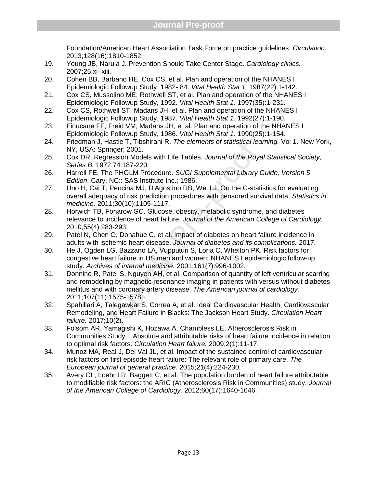Foundation/American Heart Association Task Force on practice guidelines. *Circulation.*  2013;128(16):1810 -1852.

- 19. Young JB, Narula J. Prevention Should Take Center Stage. *Cardiology clinics.*  2007;25:xi –xiii.
- 20. Cohen BB, Barbano HE, Cox CS, et al. Plan and operation of the NHANES I Epidemiologic Followup Study: 1982 - 84. *Vital Health Stat 1.*  1987(22):1 -142.
- 21. Cox CS, Mussolino ME, Rothwell ST, et al. Plan and operation of the NHANES I Epidemiologic Followup Study, 1992. *Vital Health Stat 1.* 1997(35):1 -231.
- 22. Cox CS, Rothwell ST, Madans JH, et al. Plan and operation of the NHANES I Epidemiologic Followup Study, 1987. *Vital Health Stat 1.* 1992(27):1 -190.
- 23. Finucane FF, Freid VM, Madans JH, et al. Plan and operation of the NHANES I Epidemiologic Followup Study, 1986. *Vital Health Stat 1.* 1990(25):1 -154.
- 24. Friedman J, Hastie T, Tibshirani R. *The elements of statistical learning.* Vol 1. New York, NY, USA: Springer; 2001.
- 25. Cox DR. Regression Models with Life Tables. *Journal of the Royal Statistical Society, Series B.* 1972;74:187 -220.
- 26. Harrell FE. The PHGLM Procedure. *SUGI Supplemental Library Guide, Version 5 Edition*. Cary, NC:: SAS Institute Inc.; 1986.
- 27. Uno H, Cai T, Pencina MJ, D'Agostino RB, Wei LJ. On the C -statistics for evaluating overall adequacy of risk prediction procedures with censored survival data. *Statistics in medicine.* 2011;30(10):1105 -1117.
- 28. Horwich TB, Fonarow GC. Glucose, obesity, metabolic syndrome, and diabetes relevance to incidence of heart failure. *Journal of the American College of Cardiology.*  2010;55(4):283 -293.
- 29. Patel N, Chen O, Donahue C, et al. Impact of diabetes on heart failure incidence in adults with ischemic heart disease. *Journal of diabetes and its complications.* 2017.
- 30. He J, Ogden LG, Bazzano LA, Vupputuri S, Loria C, Whelton PK. Risk factors for congestive heart failure in US men and women: NHANES I epidemiologic follow -up study. *Archives of internal medicine.* 2001;161(7):996 -1002.
- Hastie 1, Hoshirani K. The elements of statistical lead<br>gression Models with Life Tables. Journal of the Roya<br>gression Models with Life Tables. Journal of the Roya<br>gression Models with Life Tables. Journal of the Roya<br>y, N 31. Donnino R, Patel S, Nguyen AH, et al. Comparison of quantity of left ventricular scarring and remodeling by magnetic resonance imaging in patients with versus without diabetes mellitus and with coronary artery disease. *The American journal of cardiology.*  2011;107(11):1575 -1578.
- 32. Spahillari A, Talegawkar S, Correa A, et al. Ideal Cardiovascular Health, Cardiovascular Remodeling, and Heart Failure in Blacks: The Jackson Heart Study. *Circulation Heart failure.* 2017;10(2).
- 33. Folsom AR, Yamagishi K, Hozawa A, Chambless LE, Atherosclerosis Risk in Communities Study I. Absolute and attributable risks of heart failure incidence in relation to optimal risk factors. *Circulation Heart failure.* 2009;2(1):11 -17.
- 34. Munoz MA, Real J, Del Val JL, et al. Impact of the sustained control of cardiovascular risk factors on first episode heart failure: The relevant role of primary care. *The European journal of general practice.* 2015;21(4):224 -230.
- 35. Avery CL, Loehr LR, Baggett C, et al. The population burden of heart failure attributable to modifiable risk factors: the ARIC (Atherosclerosis Risk in Communities) study. *Journal of the American College of Cardiology.* 2012;60(17):1640 -1646.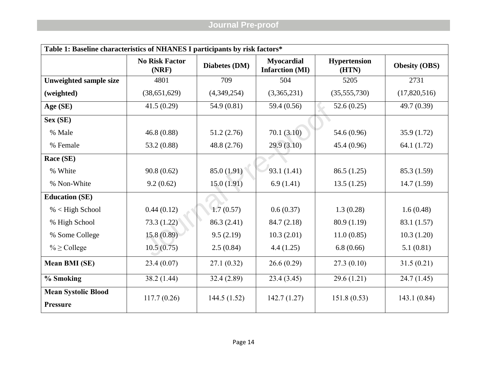| Table 1: Baseline characteristics of NHANES I participants by risk factors* |                                |               |                                             |                              |                      |  |  |  |  |  |  |
|-----------------------------------------------------------------------------|--------------------------------|---------------|---------------------------------------------|------------------------------|----------------------|--|--|--|--|--|--|
|                                                                             | <b>No Risk Factor</b><br>(NRF) | Diabetes (DM) | <b>Myocardial</b><br><b>Infarction (MI)</b> | <b>Hypertension</b><br>(HTN) | <b>Obesity (OBS)</b> |  |  |  |  |  |  |
| <b>Unweighted sample size</b>                                               | 4801                           | 709           | 504                                         | 5205                         | 2731                 |  |  |  |  |  |  |
| (weighted)                                                                  | (38,651,629)                   | (4,349,254)   | (3,365,231)                                 | (35,555,730)                 | (17,820,516)         |  |  |  |  |  |  |
| Age (SE)                                                                    | 41.5(0.29)                     | 54.9 (0.81)   | 59.4 (0.56)                                 | 52.6(0.25)                   | 49.7 (0.39)          |  |  |  |  |  |  |
| Sex (SE)                                                                    |                                |               |                                             |                              |                      |  |  |  |  |  |  |
| % Male                                                                      | 46.8(0.88)                     | 51.2(2.76)    | 70.1(3.10)                                  | 54.6 (0.96)                  | 35.9(1.72)           |  |  |  |  |  |  |
| % Female                                                                    | 53.2 (0.88)                    | 48.8 (2.76)   | 29.9(3.10)                                  | 45.4 (0.96)                  | 64.1 (1.72)          |  |  |  |  |  |  |
| Race (SE)                                                                   |                                |               |                                             |                              |                      |  |  |  |  |  |  |
| % White                                                                     | 90.8(0.62)                     | 85.0 (1.91)   | 93.1 (1.41)                                 | 86.5(1.25)                   | 85.3 (1.59)          |  |  |  |  |  |  |
| % Non-White                                                                 | 9.2(0.62)                      | 15.0(1.91)    | 6.9(1.41)                                   | 13.5(1.25)                   | 14.7(1.59)           |  |  |  |  |  |  |
| <b>Education (SE)</b>                                                       |                                |               |                                             |                              |                      |  |  |  |  |  |  |
| $% <$ High School                                                           | 0.44(0.12)                     | 1.7(0.57)     | 0.6(0.37)                                   | 1.3(0.28)                    | 1.6(0.48)            |  |  |  |  |  |  |
| % High School                                                               | 73.3 (1.22)                    | 86.3 (2.41)   | 84.7(2.18)                                  | 80.9 (1.19)                  | 83.1 (1.57)          |  |  |  |  |  |  |
| % Some College                                                              | 15.8(0.89)                     | 9.5(2.19)     | 10.3(2.01)                                  | 11.0(0.85)                   | 10.3(1.20)           |  |  |  |  |  |  |
| $\% \geq$ College                                                           | 10.5(0.75)                     | 2.5(0.84)     | 4.4(1.25)                                   | 6.8(0.66)                    | 5.1(0.81)            |  |  |  |  |  |  |
| <b>Mean BMI (SE)</b>                                                        | 23.4(0.07)                     | 27.1(0.32)    | 26.6(0.29)                                  | 27.3(0.10)                   | 31.5(0.21)           |  |  |  |  |  |  |
| % Smoking                                                                   | 38.2(1.44)                     | 32.4(2.89)    | 23.4(3.45)                                  | 29.6(1.21)                   | 24.7(1.45)           |  |  |  |  |  |  |
| <b>Mean Systolic Blood</b><br><b>Pressure</b>                               | 117.7(0.26)                    | 144.5(1.52)   | 142.7(1.27)                                 | 151.8(0.53)                  | 143.1(0.84)          |  |  |  |  |  |  |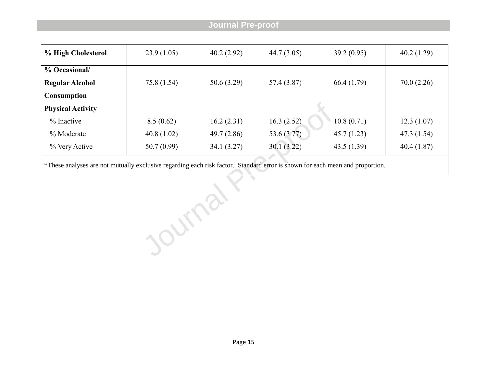| % High Cholesterol       | 23.9(1.05)  | 40.2(2.92) | 44.7(3.05)  | 39.2(0.95) | 40.2(1.29)  |
|--------------------------|-------------|------------|-------------|------------|-------------|
| % Occasional/            |             |            |             |            |             |
| <b>Regular Alcohol</b>   | 75.8 (1.54) | 50.6(3.29) | 57.4 (3.87) | 66.4(1.79) | 70.0(2.26)  |
| <b>Consumption</b>       |             |            |             |            |             |
| <b>Physical Activity</b> |             |            |             |            |             |
| $%$ Inactive             | 8.5(0.62)   | 16.2(2.31) | 16.3(2.52)  | 10.8(0.71) | 12.3(1.07)  |
| % Moderate               | 40.8(1.02)  | 49.7(2.86) | 53.6 (3.77) | 45.7(1.23) | 47.3 (1.54) |
| % Very Active            | 50.7(0.99)  | 34.1(3.27) | 30.1(3.22)  | 43.5(1.39) | 40.4(1.87)  |

\*These analyses are not mutually exclusive regarding each risk factor. Standard error is shown for each mean and proportion.

Journal Y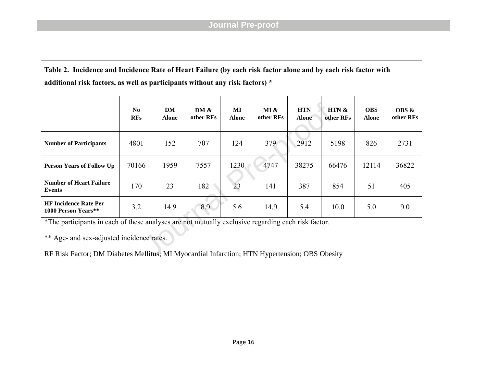**Table 2. Incidence and Incidence Rate of Heart Failure (by each risk factor alone and by each risk factor with additional risk factors, as well as participants without any risk factors) \***

|                                                                                                    | N <sub>0</sub><br><b>RFs</b> | DM<br><b>Alone</b> | DM &<br>other RFs | МI<br><b>Alone</b> | MI &<br>other RFs | <b>HTN</b><br><b>Alone</b> | HTN &<br>other RFs | <b>OBS</b><br><b>Alone</b> | <b>OBS &amp;</b><br>other RFs |  |  |
|----------------------------------------------------------------------------------------------------|------------------------------|--------------------|-------------------|--------------------|-------------------|----------------------------|--------------------|----------------------------|-------------------------------|--|--|
| <b>Number of Participants</b>                                                                      | 4801                         | 152                | 707               | 124                | 379               | 2912                       | 5198               | 826                        | 2731                          |  |  |
| <b>Person Years of Follow Up</b>                                                                   | 70166                        | 1959               | 7557              | 1230               | 4747              | 38275                      | 66476              | 12114                      | 36822                         |  |  |
| <b>Number of Heart Failure</b><br>Events                                                           | 170                          | 23                 | 182               | 23                 | 141               | 387                        | 854                | 51                         | 405                           |  |  |
| <b>HF Incidence Rate Per</b><br>1000 Person Years**                                                | 3.2                          | 14.9               | 18.9              | 5.6                | 14.9              | 5.4                        | 10.0               | 5.0                        | 9.0                           |  |  |
| *The participants in each of these analyses are not mutually exclusive regarding each risk factor. |                              |                    |                   |                    |                   |                            |                    |                            |                               |  |  |
| ** Age- and sex-adjusted incidence rates.                                                          |                              |                    |                   |                    |                   |                            |                    |                            |                               |  |  |
| RF Risk Factor; DM Diabetes Mellitus; MI Myocardial Infarction; HTN Hypertension; OBS Obesity      |                              |                    |                   |                    |                   |                            |                    |                            |                               |  |  |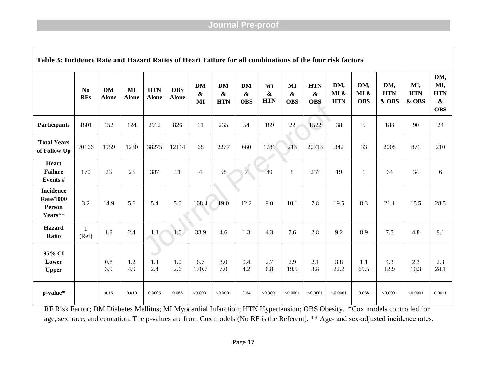| Table 3: Incidence Rate and Hazard Ratios of Heart Failure for all combinations of the four risk factors |                              |                           |                    |                            |                            |                                      |                                              |                                              |                                |                                |                                               |                           |                           |                            |                            |                                                             |
|----------------------------------------------------------------------------------------------------------|------------------------------|---------------------------|--------------------|----------------------------|----------------------------|--------------------------------------|----------------------------------------------|----------------------------------------------|--------------------------------|--------------------------------|-----------------------------------------------|---------------------------|---------------------------|----------------------------|----------------------------|-------------------------------------------------------------|
|                                                                                                          | N <sub>0</sub><br><b>RFs</b> | <b>DM</b><br><b>Alone</b> | MI<br><b>Alone</b> | <b>HTN</b><br><b>Alone</b> | <b>OBS</b><br><b>Alone</b> | <b>DM</b><br>$\boldsymbol{\&}$<br>MI | <b>DM</b><br>$\boldsymbol{\&}$<br><b>HTN</b> | <b>DM</b><br>$\boldsymbol{\&}$<br><b>OBS</b> | MI<br>$\pmb{\&}$<br><b>HTN</b> | MI<br>$\pmb{\&}$<br><b>OBS</b> | <b>HTN</b><br>$\boldsymbol{\&}$<br><b>OBS</b> | DM,<br>MI &<br><b>HTN</b> | DM,<br>MI &<br><b>OBS</b> | DM,<br><b>HTN</b><br>& OBS | MI,<br><b>HTN</b><br>& OBS | DM,<br>MI,<br><b>HTN</b><br>$\boldsymbol{\&}$<br><b>OBS</b> |
| Participants                                                                                             | 4801                         | 152                       | 124                | 2912                       | 826                        | 11                                   | 235                                          | 54                                           | 189                            | 22                             | 1522                                          | 38                        | 5                         | 188                        | 90                         | 24                                                          |
| <b>Total Years</b><br>of Follow Up                                                                       | 70166                        | 1959                      | 1230               | 38275                      | 12114                      | 68                                   | 2277                                         | 660                                          | 1781                           | 213                            | 20713                                         | 342                       | 33                        | 2008                       | 871                        | 210                                                         |
| <b>Heart</b><br><b>Failure</b><br>Events#                                                                | 170                          | 23                        | 23                 | 387                        | 51                         | $\overline{4}$                       | 58                                           | $\sqrt{2}$<br>7 <sup>1</sup>                 | 49                             | 5                              | 237                                           | 19                        | 1                         | 64                         | 34                         | 6                                                           |
| <b>Incidence</b><br><b>Rate/1000</b><br>Person<br>Years**                                                | 3.2                          | 14.9                      | 5.6                | 5.4                        | 5.0                        | 108.4                                | 19.0                                         | 12.2                                         | 9.0                            | 10.1                           | 7.8                                           | 19.5                      | 8.3                       | 21.1                       | 15.5                       | 28.5                                                        |
| Hazard<br>Ratio                                                                                          | $\mathbf{1}$<br>(Ref)        | 1.8                       | 2.4                | 1.8                        | 1.6                        | 33.9                                 | 4.6                                          | 1.3                                          | 4.3                            | 7.6                            | 2.8                                           | 9.2                       | 8.9                       | 7.5                        | 4.8                        | 8.1                                                         |
| 95% CI<br>Lower<br><b>Upper</b>                                                                          |                              | 0.8<br>3.9                | 1.2<br>4.9         | $\sim$<br>1.3<br>2.4       | 1.0<br>2.6                 | 6.7<br>170.7                         | 3.0<br>7.0                                   | 0.4<br>4.2                                   | 2.7<br>6.8                     | 2.9<br>19.5                    | 2.1<br>3.8                                    | 3.8<br>22.2               | 1.1<br>69.5               | 4.3<br>12.9                | 2.3<br>10.3                | 2.3<br>28.1                                                 |
| p-value*                                                                                                 |                              | 0.16                      | 0.019              | 0.0006                     | 0.066                      | < 0.0001                             | < 0.0001                                     | 0.64                                         | < 0.0001                       | < 0.0001                       | < 0.0001                                      | < 0.0001                  | 0.038                     | < 0.0001                   | < 0.0001                   | 0.0011                                                      |

RF Risk Factor; DM Diabetes Mellitus; MI Myocardial Infarction; HTN Hypertension; OBS Obesity. \*Cox models controlled for age, sex, race, and education. The p-values are from Cox models (No RF is the Referent). \*\* Age- and sex-adjusted incidence rates.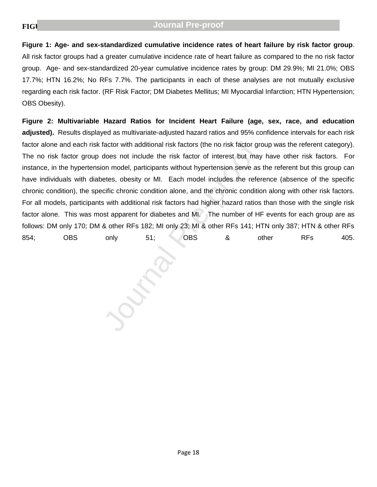Figure 1: Age- and sex-standardized cumulative incidence rates of heart failure by risk factor group. All risk factor groups had a greater cumulative incidence rate of heart failure as compared to the no risk factor group. Age- and sex-standardized 20-year cumulative incidence rates by group: DM 29.9%; MI 21.0%; OBS 17.7%; HTN 16.2%; No RFs 7.7%. The participants in each of these analyses are not mutually exclusive regarding each risk factor. (RF Risk Factor; DM Diabetes Mellitus; MI Myocardial Infarction; HTN Hypertension; OBS Obesity).

factor with additional risk factors (the no risk factor gradeos not include the risk factor of interest but may<br>on model, participants without hypertension serve as<br>etes, obesity or MI. Each model includes the refere<br>cific **Figure 2: Multivariable Hazard Ratios for Incident Heart Failure (age, sex, race, and education**  adjusted). Results displayed as multivariate-adjusted hazard ratios and 95% confidence intervals for each risk factor alone and each risk factor with additional risk factors (the no risk factor group was the referent category). The no risk factor group does not include the risk factor of interest but may have other risk factors. For instance, in the hypertension model, participants without hypertension serve as the referent but this group can have individuals with diabetes, obesity or MI. Each model includes the reference (absence of the specific chronic condition), the specific chronic condition alone, and the chronic condition along with other risk factors. For all models, participants with additional risk factors had higher hazard ratios than those with the single risk factor alone. This was most apparent for diabetes and MI. The number of HF events for each group are as follows: DM only 170; DM & other RFs 182; MI only 23; MI & other RFs 141; HTN only 387; HTN & other RFs 854; OBS only 51; OBS & other RFs 405.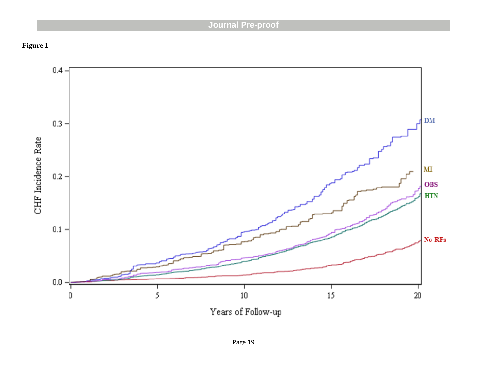**Figure 1**